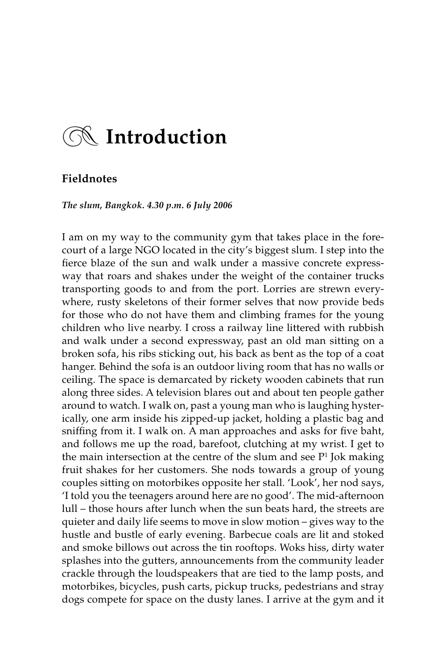# z **Introduction**

## **Fieldnotes**

*The slum, Bangkok. 4.30 p.m. 6 July 2006*

I am on my way to the community gym that takes place in the forecourt of a large NGO located in the city's biggest slum. I step into the fierce blaze of the sun and walk under a massive concrete expressway that roars and shakes under the weight of the container trucks transporting goods to and from the port. Lorries are strewn everywhere, rusty skeletons of their former selves that now provide beds for those who do not have them and climbing frames for the young children who live nearby. I cross a railway line littered with rubbish and walk under a second expressway, past an old man sitting on a broken sofa, his ribs sticking out, his back as bent as the top of a coat hanger. Behind the sofa is an outdoor living room that has no walls or ceiling. The space is demarcated by rickety wooden cabinets that run along three sides. A television blares out and about ten people gather around to watch. I walk on, past a young man who is laughing hysterically, one arm inside his zipped-up jacket, holding a plastic bag and sniffing from it. I walk on. A man approaches and asks for five baht, and follows me up the road, barefoot, clutching at my wrist. I get to the main intersection at the centre of the slum and see  $P<sup>1</sup>$  Jok making fruit shakes for her customers. She nods towards a group of young couples sitting on motorbikes opposite her stall. 'Look', her nod says, 'I told you the teenagers around here are no good'. The mid-afternoon lull – those hours after lunch when the sun beats hard, the streets are quieter and daily life seems to move in slow motion – gives way to the hustle and bustle of early evening. Barbecue coals are lit and stoked and smoke billows out across the tin rooftops. Woks hiss, dirty water splashes into the gutters, announcements from the community leader crackle through the loudspeakers that are tied to the lamp posts, and motorbikes, bicycles, push carts, pickup trucks, pedestrians and stray dogs compete for space on the dusty lanes. I arrive at the gym and it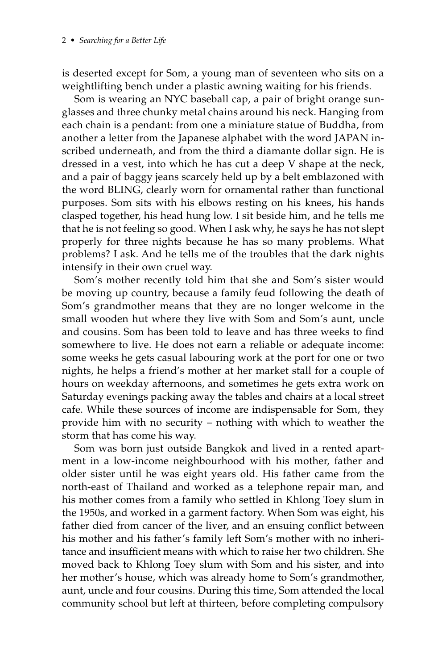#### 2 • *Searching for a Better Life*

is deserted except for Som, a young man of seventeen who sits on a weightlifting bench under a plastic awning waiting for his friends.

Som is wearing an NYC baseball cap, a pair of bright orange sunglasses and three chunky metal chains around his neck. Hanging from each chain is a pendant: from one a miniature statue of Buddha, from another a letter from the Japanese alphabet with the word JAPAN inscribed underneath, and from the third a diamante dollar sign. He is dressed in a vest, into which he has cut a deep V shape at the neck, and a pair of baggy jeans scarcely held up by a belt emblazoned with the word BLING, clearly worn for ornamental rather than functional purposes. Som sits with his elbows resting on his knees, his hands clasped together, his head hung low. I sit beside him, and he tells me that he is not feeling so good. When I ask why, he says he has not slept properly for three nights because he has so many problems. What problems? I ask. And he tells me of the troubles that the dark nights intensify in their own cruel way.

Som's mother recently told him that she and Som's sister would be moving up country, because a family feud following the death of Som's grandmother means that they are no longer welcome in the small wooden hut where they live with Som and Som's aunt, uncle and cousins. Som has been told to leave and has three weeks to find somewhere to live. He does not earn a reliable or adequate income: some weeks he gets casual labouring work at the port for one or two nights, he helps a friend's mother at her market stall for a couple of hours on weekday afternoons, and sometimes he gets extra work on Saturday evenings packing away the tables and chairs at a local street cafe. While these sources of income are indispensable for Som, they provide him with no security – nothing with which to weather the storm that has come his way.

Som was born just outside Bangkok and lived in a rented apartment in a low-income neighbourhood with his mother, father and older sister until he was eight years old. His father came from the north-east of Thailand and worked as a telephone repair man, and his mother comes from a family who settled in Khlong Toey slum in the 1950s, and worked in a garment factory. When Som was eight, his father died from cancer of the liver, and an ensuing conflict between his mother and his father's family left Som's mother with no inheritance and insufficient means with which to raise her two children. She moved back to Khlong Toey slum with Som and his sister, and into her mother's house, which was already home to Som's grandmother, aunt, uncle and four cousins. During this time, Som attended the local community school but left at thirteen, before completing compulsory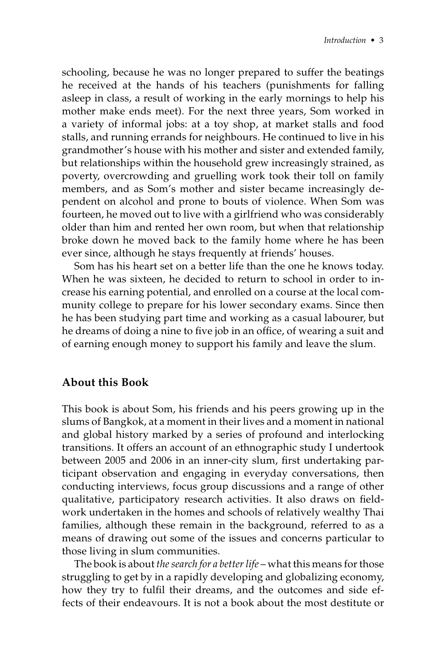schooling, because he was no longer prepared to suffer the beatings he received at the hands of his teachers (punishments for falling asleep in class, a result of working in the early mornings to help his mother make ends meet). For the next three years, Som worked in a variety of informal jobs: at a toy shop, at market stalls and food stalls, and running errands for neighbours. He continued to live in his grandmother's house with his mother and sister and extended family, but relationships within the household grew increasingly strained, as poverty, overcrowding and gruelling work took their toll on family members, and as Som's mother and sister became increasingly dependent on alcohol and prone to bouts of violence. When Som was fourteen, he moved out to live with a girlfriend who was considerably older than him and rented her own room, but when that relationship broke down he moved back to the family home where he has been ever since, although he stays frequently at friends' houses.

Som has his heart set on a better life than the one he knows today. When he was sixteen, he decided to return to school in order to increase his earning potential, and enrolled on a course at the local community college to prepare for his lower secondary exams. Since then he has been studying part time and working as a casual labourer, but he dreams of doing a nine to five job in an office, of wearing a suit and of earning enough money to support his family and leave the slum.

# **About this Book**

This book is about Som, his friends and his peers growing up in the slums of Bangkok, at a moment in their lives and a moment in national and global history marked by a series of profound and interlocking transitions. It offers an account of an ethnographic study I undertook between 2005 and 2006 in an inner-city slum, first undertaking participant observation and engaging in everyday conversations, then conducting interviews, focus group discussions and a range of other qualitative, participatory research activities. It also draws on fieldwork undertaken in the homes and schools of relatively wealthy Thai families, although these remain in the background, referred to as a means of drawing out some of the issues and concerns particular to those living in slum communities.

The book is about *the search for a better life* – what this means for those struggling to get by in a rapidly developing and globalizing economy, how they try to fulfil their dreams, and the outcomes and side effects of their endeavours. It is not a book about the most destitute or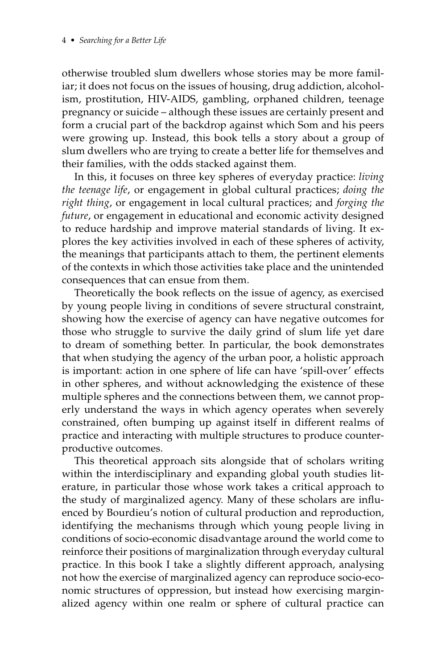otherwise troubled slum dwellers whose stories may be more familiar; it does not focus on the issues of housing, drug addiction, alcoholism, prostitution, HIV-AIDS, gambling, orphaned children, teenage pregnancy or suicide – although these issues are certainly present and form a crucial part of the backdrop against which Som and his peers were growing up. Instead, this book tells a story about a group of slum dwellers who are trying to create a better life for themselves and their families, with the odds stacked against them.

In this, it focuses on three key spheres of everyday practice: *living the teenage life*, or engagement in global cultural practices; *doing the right thing*, or engagement in local cultural practices; and *forging the future*, or engagement in educational and economic activity designed to reduce hardship and improve material standards of living. It explores the key activities involved in each of these spheres of activity, the meanings that participants attach to them, the pertinent elements of the contexts in which those activities take place and the unintended consequences that can ensue from them.

Theoretically the book reflects on the issue of agency, as exercised by young people living in conditions of severe structural constraint, showing how the exercise of agency can have negative outcomes for those who struggle to survive the daily grind of slum life yet dare to dream of something better. In particular, the book demonstrates that when studying the agency of the urban poor, a holistic approach is important: action in one sphere of life can have 'spill-over' effects in other spheres, and without acknowledging the existence of these multiple spheres and the connections between them, we cannot properly understand the ways in which agency operates when severely constrained, often bumping up against itself in different realms of practice and interacting with multiple structures to produce counterproductive outcomes.

This theoretical approach sits alongside that of scholars writing within the interdisciplinary and expanding global youth studies literature, in particular those whose work takes a critical approach to the study of marginalized agency. Many of these scholars are influenced by Bourdieu's notion of cultural production and reproduction, identifying the mechanisms through which young people living in conditions of socio-economic disadvantage around the world come to reinforce their positions of marginalization through everyday cultural practice. In this book I take a slightly different approach, analysing not how the exercise of marginalized agency can reproduce socio-economic structures of oppression, but instead how exercising marginalized agency within one realm or sphere of cultural practice can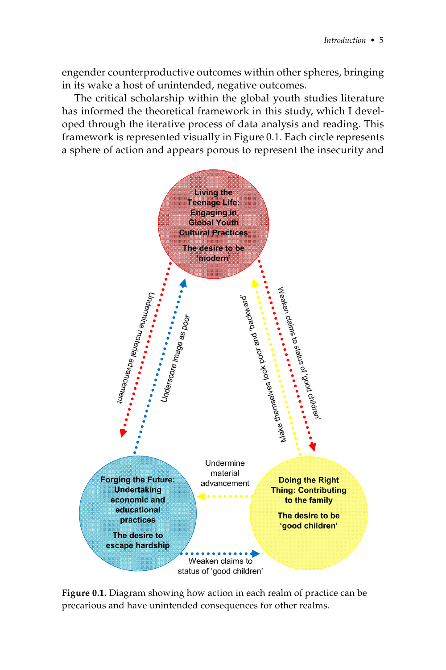engender counterproductive outcomes within other spheres, bringing in its wake a host of unintended, negative outcomes.

The critical scholarship within the global youth studies literature has informed the theoretical framework in this study, which I developed through the iterative process of data analysis and reading. This framework is represented visually in Figure 0.1. Each circle represents a sphere of action and appears porous to represent the insecurity and



**Figure 0.1.** Diagram showing how action in each realm of practice can be precarious and have unintended consequences for other realms.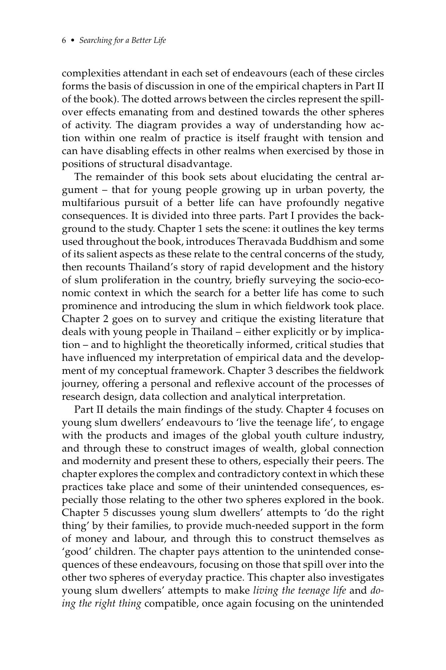complexities attendant in each set of endeavours (each of these circles forms the basis of discussion in one of the empirical chapters in Part II of the book). The dotted arrows between the circles represent the spillover effects emanating from and destined towards the other spheres of activity. The diagram provides a way of understanding how action within one realm of practice is itself fraught with tension and can have disabling effects in other realms when exercised by those in positions of structural disadvantage.

The remainder of this book sets about elucidating the central argument – that for young people growing up in urban poverty, the multifarious pursuit of a better life can have profoundly negative consequences. It is divided into three parts. Part I provides the background to the study. Chapter 1 sets the scene: it outlines the key terms used throughout the book, introduces Theravada Buddhism and some of its salient aspects as these relate to the central concerns of the study, then recounts Thailand's story of rapid development and the history of slum proliferation in the country, briefly surveying the socio-economic context in which the search for a better life has come to such prominence and introducing the slum in which fieldwork took place. Chapter 2 goes on to survey and critique the existing literature that deals with young people in Thailand – either explicitly or by implication – and to highlight the theoretically informed, critical studies that have influenced my interpretation of empirical data and the development of my conceptual framework. Chapter 3 describes the fieldwork journey, offering a personal and reflexive account of the processes of research design, data collection and analytical interpretation.

Part II details the main findings of the study. Chapter 4 focuses on young slum dwellers' endeavours to 'live the teenage life', to engage with the products and images of the global youth culture industry, and through these to construct images of wealth, global connection and modernity and present these to others, especially their peers. The chapter explores the complex and contradictory context in which these practices take place and some of their unintended consequences, especially those relating to the other two spheres explored in the book. Chapter 5 discusses young slum dwellers' attempts to 'do the right thing' by their families, to provide much-needed support in the form of money and labour, and through this to construct themselves as 'good' children. The chapter pays attention to the unintended consequences of these endeavours, focusing on those that spill over into the other two spheres of everyday practice. This chapter also investigates young slum dwellers' attempts to make *living the teenage life* and *doing the right thing* compatible, once again focusing on the unintended